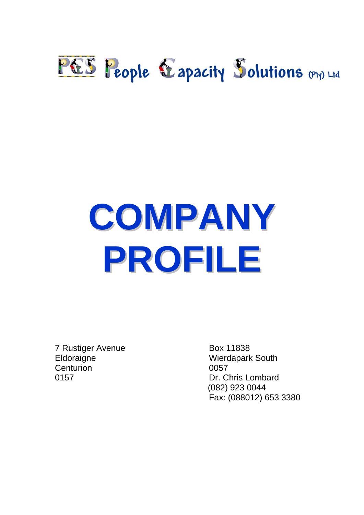## PES People Eapacity Solutions (Pty) Ltd

# **COMPANY PROFILE**

7 Rustiger Avenue Box 11838 Eldoraigne Wierdapark South Centurion 0057

0157 Dr. Chris Lombard (082) 923 0044 Fax: (088012) 653 3380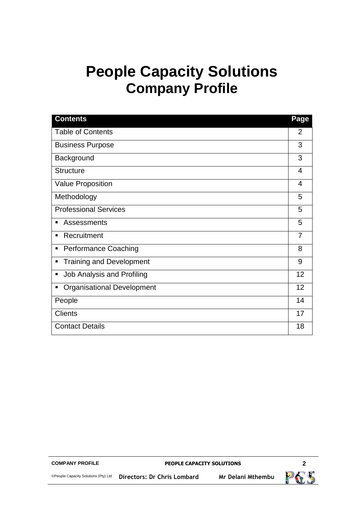## **People Capacity Solutions Company Profile**

| <b>Contents</b>                        | Page |
|----------------------------------------|------|
| <b>Table of Contents</b>               | 2    |
| <b>Business Purpose</b>                | 3    |
| Background                             | 3    |
| <b>Structure</b>                       | 4    |
| Value Proposition                      | 4    |
| Methodology                            | 5    |
| <b>Professional Services</b>           | 5    |
| Assessments<br>п                       | 5    |
| Recruitment<br>٠                       | 7    |
| <b>Performance Coaching</b><br>Ξ       | 8    |
| <b>Training and Development</b><br>п   | 9    |
| <b>Job Analysis and Profiling</b><br>Ξ | 12   |
| <b>Organisational Development</b><br>п | 12   |
| People                                 | 14   |
| <b>Clients</b>                         | 17   |
| <b>Contact Details</b>                 | 18   |

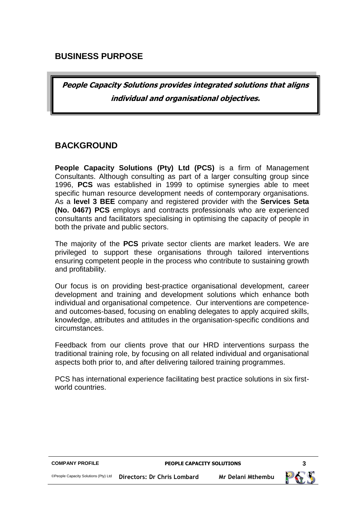#### **BUSINESS PURPOSE**

**People Capacity Solutions provides integrated solutions that aligns individual and organisational objectives.**

#### **BACKGROUND**

**People Capacity Solutions (Pty) Ltd (PCS)** is a firm of Management Consultants. Although consulting as part of a larger consulting group since 1996, **PCS** was established in 1999 to optimise synergies able to meet specific human resource development needs of contemporary organisations. As a **level 3 BEE** company and registered provider with the **Services Seta (No. 0467) PCS** employs and contracts professionals who are experienced consultants and facilitators specialising in optimising the capacity of people in both the private and public sectors.

The majority of the **PCS** private sector clients are market leaders. We are privileged to support these organisations through tailored interventions ensuring competent people in the process who contribute to sustaining growth and profitability.

Our focus is on providing best-practice organisational development, career development and training and development solutions which enhance both individual and organisational competence. Our interventions are competenceand outcomes-based, focusing on enabling delegates to apply acquired skills, knowledge, attributes and attitudes in the organisation-specific conditions and circumstances.

Feedback from our clients prove that our HRD interventions surpass the traditional training role, by focusing on all related individual and organisational aspects both prior to, and after delivering tailored training programmes.

PCS has international experience facilitating best practice solutions in six firstworld countries.

| <b>COMPANY PROFILE</b>               | <b>PEOPLE CAPACITY SOLUTIONS</b> |                   |  |
|--------------------------------------|----------------------------------|-------------------|--|
| ©People Capacity Solutions (Pty) Ltd | Directors: Dr Chris Lombard      | Mr Delani Mthembu |  |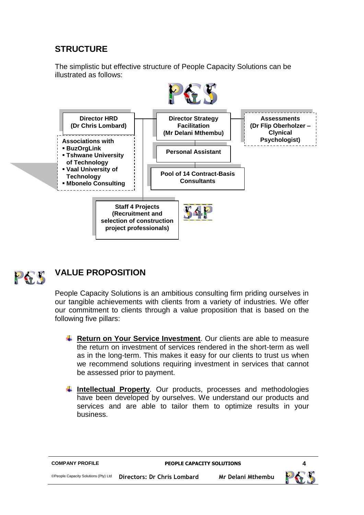### **STRUCTURE**

The simplistic but effective structure of People Capacity Solutions can be illustrated as follows:





## **VALUE PROPOSITION**

People Capacity Solutions is an ambitious consulting firm priding ourselves in our tangible achievements with clients from a variety of industries. We offer our commitment to clients through a value proposition that is based on the following five pillars:

- **EXTERENDER ARE:** Return on Your Service Investment. Our clients are able to measure the return on investment of services rendered in the short-term as well as in the long-term. This makes it easy for our clients to trust us when we recommend solutions requiring investment in services that cannot be assessed prior to payment.
- **Intellectual Property**. Our products, processes and methodologies have been developed by ourselves. We understand our products and services and are able to tailor them to optimize results in your business.

| <b>COMPANY PROFILE</b>               | <b>PEOPLE CAPACITY SOLUTIONS</b> |                   |  |
|--------------------------------------|----------------------------------|-------------------|--|
| ©People Capacity Solutions (Pty) Ltd | Directors: Dr Chris Lombard      | Mr Delani Mthembu |  |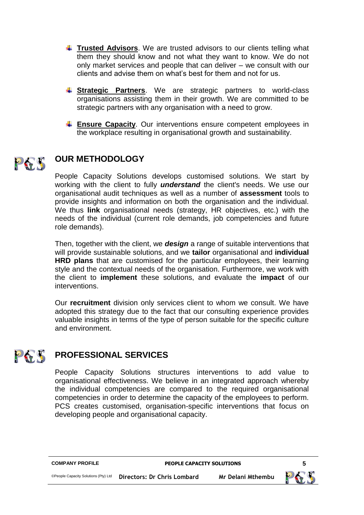- **Trusted Advisors**. We are trusted advisors to our clients telling what them they should know and not what they want to know. We do not only market services and people that can deliver – we consult with our clients and advise them on what's best for them and not for us.
- **Strategic Partners**. We are strategic partners to world-class organisations assisting them in their growth. We are committed to be strategic partners with any organisation with a need to grow.
- **Ensure Capacity**. Our interventions ensure competent employees in the workplace resulting in organisational growth and sustainability.

#### **OUR METHODOLOGY** PES

People Capacity Solutions develops customised solutions. We start by working with the client to fully *understand* the client's needs. We use our organisational audit techniques as well as a number of **assessment** tools to provide insights and information on both the organisation and the individual. We thus **link** organisational needs (strategy, HR objectives, etc.) with the needs of the individual (current role demands, job competencies and future role demands).

Then, together with the client, we *design* a range of suitable interventions that will provide sustainable solutions, and we **tailor** organisational and **individual HRD plans** that are customised for the particular employees, their learning style and the contextual needs of the organisation. Furthermore, we work with the client to **implement** these solutions, and evaluate the **impact** of our interventions.

Our **recruitment** division only services client to whom we consult. We have adopted this strategy due to the fact that our consulting experience provides valuable insights in terms of the type of person suitable for the specific culture and environment.

#### PES **PROFESSIONAL SERVICES**

People Capacity Solutions structures interventions to add value to organisational effectiveness. We believe in an integrated approach whereby the individual competencies are compared to the required organisational competencies in order to determine the capacity of the employees to perform. PCS creates customised, organisation-specific interventions that focus on developing people and organisational capacity.

| <b>COMPANY PROFILE</b>               | <b>PEOPLE CAPACITY SOLUTIONS</b> |                   |    |
|--------------------------------------|----------------------------------|-------------------|----|
| ©People Capacity Solutions (Pty) Ltd | Directors: Dr Chris Lombard      | Mr Delani Mthembu | PG |

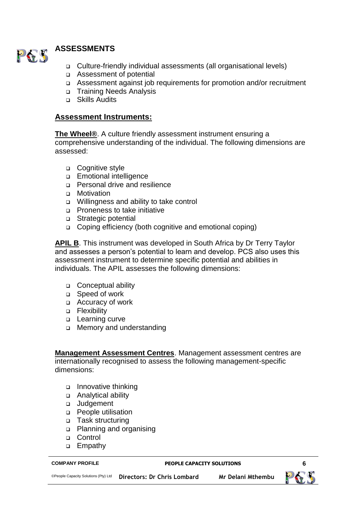

- Culture-friendly individual assessments (all organisational levels)
- Assessment of potential
- Assessment against job requirements for promotion and/or recruitment
- □ Training Needs Analysis
- □ Skills Audits

#### **Assessment Instruments:**

**The Wheel®**. A culture friendly assessment instrument ensuring a comprehensive understanding of the individual. The following dimensions are assessed:

- □ Cognitive style
- **Emotional intelligence**
- □ Personal drive and resilience
- **D** Motivation
- Willingness and ability to take control
- □ Proneness to take initiative
- Strategic potential
- □ Coping efficiency (both cognitive and emotional coping)

**APIL B**. This instrument was developed in South Africa by Dr Terry Taylor and assesses a person's potential to learn and develop. PCS also uses this assessment instrument to determine specific potential and abilities in individuals. The APIL assesses the following dimensions:

- □ Conceptual ability
- Speed of work
- Accuracy of work
- **D** Flexibility
- **Learning curve**
- □ Memory and understanding

**Management Assessment Centres**. Management assessment centres are internationally recognised to assess the following management-specific dimensions:

- Innovative thinking
- Analytical ability
- Judgement
- **People utilisation**
- □ Task structuring
- Planning and organising
- □ Control
- □ Empathy

#### **COMPANY PROFILE PEOPLE CAPACITY SOLUTIONS 6**

©People Capacity Solutions (Pty) Ltd **Directors: Dr Chris Lombard Mr Delani Mthembu**

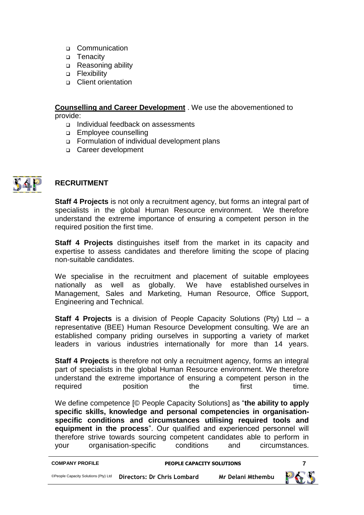- □ Communication
- □ Tenacity
- □ Reasoning ability
- **D** Flexibility
- Client orientation

#### **Counselling and Career Development** . We use the abovementioned to provide:

- □ Individual feedback on assessments
- **Employee counselling**
- Formulation of individual development plans
- Career development



#### **RECRUITMENT**

**Staff 4 Projects** is not only a recruitment agency, but forms an integral part of specialists in the global Human Resource environment. We therefore understand the extreme importance of ensuring a competent person in the required position the first time.

**Staff 4 Projects** distinguishes itself from the market in its capacity and expertise to assess candidates and therefore limiting the scope of placing non-suitable candidates.

We specialise in the recruitment and placement of suitable employees nationally as well as globally. We have established ourselves in Management, Sales and Marketing, Human Resource, Office Support, Engineering and Technical.

**Staff 4 Projects** is a division of People Capacity Solutions (Pty) Ltd – a representative (BEE) Human Resource Development consulting. We are an established company priding ourselves in supporting a variety of market leaders in various industries internationally for more than 14 years.

**Staff 4 Projects** is therefore not only a recruitment agency, forms an integral part of specialists in the global Human Resource environment. We therefore understand the extreme importance of ensuring a competent person in the required **position** the first time.

We define competence [© People Capacity Solutions] as "**the ability to apply specific skills, knowledge and personal competencies in organisationspecific conditions and circumstances utilising required tools and equipment in the process**". Our qualified and experienced personnel will therefore strive towards sourcing competent candidates able to perform in your organisation-specific conditions and circumstances.

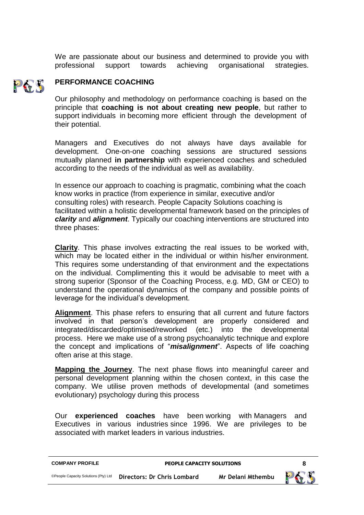We are passionate about our business and determined to provide you with professional support towards achieving organisational strategies.

#### **PERFORMANCE COACHING** PES

Our philosophy and methodology on performance coaching is based on the principle that **coaching is not about creating new people**, but rather to support individuals in becoming more efficient through the development of their potential.

Managers and Executives do not always have days available for development. One-on-one coaching sessions are structured sessions mutually planned **in partnership** with experienced coaches and scheduled according to the needs of the individual as well as availability.

In essence our approach to coaching is pragmatic, combining what the coach know works in practice (from experience in similar, executive and/or consulting roles) with research. People Capacity Solutions coaching is facilitated within a holistic developmental framework based on the principles of *clarity* and *alignment*. Typically our coaching interventions are structured into three phases:

**Clarity**. This phase involves extracting the real issues to be worked with, which may be located either in the individual or within his/her environment. This requires some understanding of that environment and the expectations on the individual. Complimenting this it would be advisable to meet with a strong superior (Sponsor of the Coaching Process, e.g. MD, GM or CEO) to understand the operational dynamics of the company and possible points of leverage for the individual's development.

**Alignment**. This phase refers to ensuring that all current and future factors involved in that person's development are properly considered and integrated/discarded/optimised/reworked (etc.) into the developmental process. Here we make use of a strong psychoanalytic technique and explore the concept and implications of "*misalignment*". Aspects of life coaching often arise at this stage.

**Mapping the Journey**. The next phase flows into meaningful career and personal development planning within the chosen context, in this case the company. We utilise proven methods of developmental (and sometimes evolutionary) psychology during this process

Our **experienced coaches** have been working with Managers and Executives in various industries since 1996. We are privileges to be associated with market leaders in various industries.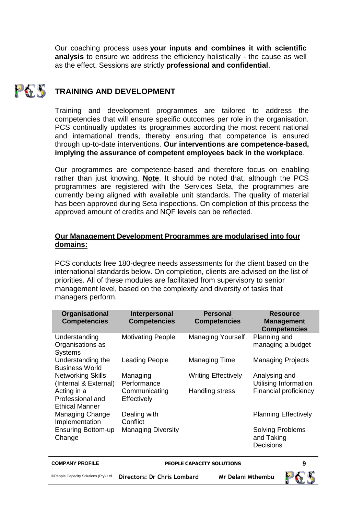Our coaching process uses **your inputs and combines it with scientific analysis** to ensure we address the efficiency holistically - the cause as well as the effect. Sessions are strictly **professional and confidential**.

#### PAY **TRAINING AND DEVELOPMENT**

Training and development programmes are tailored to address the competencies that will ensure specific outcomes per role in the organisation. PCS continually updates its programmes according the most recent national and international trends, thereby ensuring that competence is ensured through up-to-date interventions. **Our interventions are competence-based, implying the assurance of competent employees back in the workplace**.

Our programmes are competence-based and therefore focus on enabling rather than just knowing. **Note**. It should be noted that, although the PCS programmes are registered with the Services Seta, the programmes are currently being aligned with available unit standards. The quality of material has been approved during Seta inspections. On completion of this process the approved amount of credits and NQF levels can be reflected.

#### **Our Management Development Programmes are modularised into four domains:**

PCS conducts free 180-degree needs assessments for the client based on the international standards below. On completion, clients are advised on the list of priorities. All of these modules are facilitated from supervisory to senior management level, based on the complexity and diversity of tasks that managers perform.

| Organisational<br><b>Competencies</b>                    | Interpersonal<br><b>Competencies</b> | <b>Personal</b><br><b>Competencies</b> | <b>Resource</b><br><b>Management</b><br><b>Competencies</b> |
|----------------------------------------------------------|--------------------------------------|----------------------------------------|-------------------------------------------------------------|
| Understanding<br>Organisations as<br><b>Systems</b>      | <b>Motivating People</b>             | <b>Managing Yourself</b>               | Planning and<br>managing a budget                           |
| Understanding the<br><b>Business World</b>               | Leading People                       | <b>Managing Time</b>                   | <b>Managing Projects</b>                                    |
| <b>Networking Skills</b><br>(Internal & External)        | Managing<br>Performance              | <b>Writing Effectively</b>             | Analysing and<br>Utilising Information                      |
| Acting in a<br>Professional and<br><b>Ethical Manner</b> | Communicating<br>Effectively         | Handling stress                        | Financial proficiency                                       |
| Managing Change<br>Implementation                        | Dealing with<br>Conflict             |                                        | <b>Planning Effectively</b>                                 |
| <b>Ensuring Bottom-up</b><br>Change                      | <b>Managing Diversity</b>            |                                        | <b>Solving Problems</b><br>and Taking<br>Decisions          |

#### **COMPANY PROFILE PEOPLE CAPACITY SOLUTIONS 9**

©People Capacity Solutions (Pty) Ltd **Directors: Dr Chris Lombard Mr Delani Mthembu**

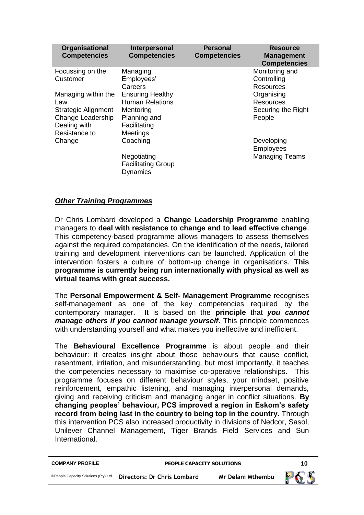| Organisational<br><b>Competencies</b>                                                                          | Interpersonal<br><b>Competencies</b>                                                                              | <b>Personal</b><br><b>Competencies</b> | <b>Resource</b><br><b>Management</b><br><b>Competencies</b>    |
|----------------------------------------------------------------------------------------------------------------|-------------------------------------------------------------------------------------------------------------------|----------------------------------------|----------------------------------------------------------------|
| Focussing on the<br>Customer                                                                                   | Managing<br>Employees'<br>Careers                                                                                 |                                        | Monitoring and<br>Controlling<br>Resources                     |
| Managing within the<br>Law<br><b>Strategic Alignment</b><br>Change Leadership<br>Dealing with<br>Resistance to | <b>Ensuring Healthy</b><br><b>Human Relations</b><br>Mentoring<br>Planning and<br>Facilitating<br><b>Meetings</b> |                                        | Organising<br><b>Resources</b><br>Securing the Right<br>People |
| Change                                                                                                         | Coaching<br>Negotiating                                                                                           |                                        | Developing<br>Employees<br><b>Managing Teams</b>               |
|                                                                                                                | <b>Facilitating Group</b><br>Dynamics                                                                             |                                        |                                                                |

#### *Other Training Programmes*

Dr Chris Lombard developed a **Change Leadership Programme** enabling managers to **deal with resistance to change and to lead effective change**. This competency-based programme allows managers to assess themselves against the required competencies. On the identification of the needs, tailored training and development interventions can be launched. Application of the intervention fosters a culture of bottom-up change in organisations. **This programme is currently being run internationally with physical as well as virtual teams with great success.**

The **Personal Empowerment & Self- Management Programme** recognises self-management as one of the key competencies required by the contemporary manager. It is based on the **principle** that *you cannot manage others if you cannot manage yourself*. This principle commences with understanding yourself and what makes you ineffective and inefficient.

The **Behavioural Excellence Programme** is about people and their behaviour: it creates insight about those behaviours that cause conflict, resentment, irritation, and misunderstanding, but most importantly, it teaches the competencies necessary to maximise co-operative relationships. This programme focuses on different behaviour styles, your mindset, positive reinforcement, empathic listening, and managing interpersonal demands, giving and receiving criticism and managing anger in conflict situations. **By changing peoples' behaviour, PCS improved a region in Eskom's safety record from being last in the country to being top in the country.** Through this intervention PCS also increased productivity in divisions of Nedcor, Sasol, Unilever Channel Management, Tiger Brands Field Services and Sun International.

| <b>COMPANY PROFILE</b>               | <b>PEOPLE CAPACITY SOLUTIONS</b> |                   | 10  |
|--------------------------------------|----------------------------------|-------------------|-----|
| ©People Capacity Solutions (Pty) Ltd | Directors: Dr Chris Lombard      | Mr Delani Mthembu | PAK |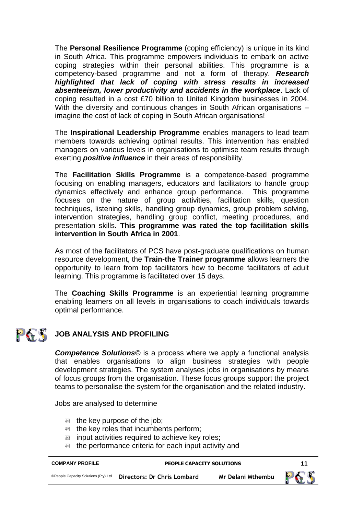The **Personal Resilience Programme** (coping efficiency) is unique in its kind in South Africa. This programme empowers individuals to embark on active coping strategies within their personal abilities. This programme is a competency-based programme and not a form of therapy. *Research highlighted that lack of coping with stress results in increased absenteeism, lower productivity and accidents in the workplace*. Lack of coping resulted in a cost £70 billion to United Kingdom businesses in 2004. With the diversity and continuous changes in South African organisations imagine the cost of lack of coping in South African organisations!

The **Inspirational Leadership Programme** enables managers to lead team members towards achieving optimal results. This intervention has enabled managers on various levels in organisations to optimise team results through exerting *positive influence* in their areas of responsibility.

The **Facilitation Skills Programme** is a competence-based programme focusing on enabling managers, educators and facilitators to handle group dynamics effectively and enhance group performance. This programme focuses on the nature of group activities, facilitation skills, question techniques, listening skills, handling group dynamics, group problem solving, intervention strategies, handling group conflict, meeting procedures, and presentation skills. **This programme was rated the top facilitation skills intervention in South Africa in 2001**.

As most of the facilitators of PCS have post-graduate qualifications on human resource development, the **Train-the Trainer programme** allows learners the opportunity to learn from top facilitators how to become facilitators of adult learning. This programme is facilitated over 15 days.

The **Coaching Skills Programme** is an experiential learning programme enabling learners on all levels in organisations to coach individuals towards optimal performance.

#### **PASS** JOB ANALYSIS AND PROFILING

*Competence Solutions©* is a process where we apply a functional analysis that enables organisations to align business strategies with people development strategies. The system analyses jobs in organisations by means of focus groups from the organisation. These focus groups support the project teams to personalise the system for the organisation and the related industry.

Jobs are analysed to determine

- $\mathbb{B}$  the key purpose of the job;
- the key roles that incumbents perform;
- input activities required to achieve key roles;
- the performance criteria for each input activity and

| <b>COMPANY PROFILE</b>               | <b>PEOPLE CAPACITY SOLUTIONS</b> |                   | -11 |
|--------------------------------------|----------------------------------|-------------------|-----|
| ©People Capacity Solutions (Pty) Ltd | Directors: Dr Chris Lombard      | Mr Delani Mthembu | PES |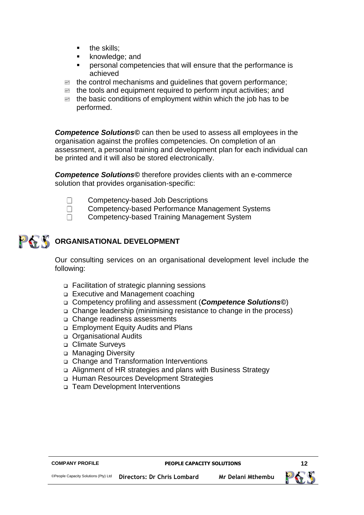- the skills;
- knowledge; and
- personal competencies that will ensure that the performance is achieved
- the control mechanisms and guidelines that govern performance;
- the tools and equipment required to perform input activities; and
- $\mathbb{E}$  the basic conditions of employment within which the job has to be performed.

*Competence Solutions©* can then be used to assess all employees in the organisation against the profiles competencies. On completion of an assessment, a personal training and development plan for each individual can be printed and it will also be stored electronically.

*Competence Solutions©* therefore provides clients with an e-commerce solution that provides organisation-specific:

- $\Box$  Competency-based Job Descriptions
- **T** Competency-based Performance Management Systems
- **Competency-based Training Management System**

## **ORGANISATIONAL DEVELOPMENT**

Our consulting services on an organisational development level include the following:

- Facilitation of strategic planning sessions
- Executive and Management coaching
- Competency profiling and assessment (*Competence Solutions©*)
- Change leadership (minimising resistance to change in the process)
- Change readiness assessments
- Employment Equity Audits and Plans
- o Organisational Audits
- □ Climate Surveys
- □ Managing Diversity
- Change and Transformation Interventions
- Alignment of HR strategies and plans with Business Strategy
- Human Resources Development Strategies
- □ Team Development Interventions

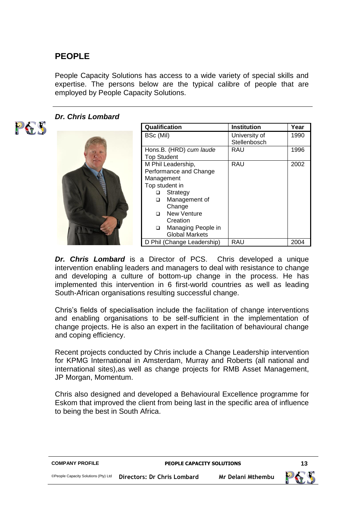#### **PEOPLE**

People Capacity Solutions has access to a wide variety of special skills and expertise. The persons below are the typical calibre of people that are employed by People Capacity Solutions.



#### *Dr. Chris Lombard*

| Qualification      |                            | <b>Institution</b> | Year |
|--------------------|----------------------------|--------------------|------|
| BSc (Mil)          |                            | University of      | 1990 |
|                    |                            | Stellenbosch       |      |
|                    | Hons.B. (HRD) cum laude    | RAU                | 1996 |
| <b>Top Student</b> |                            |                    |      |
|                    | M Phil Leadership,         | RAU                | 2002 |
|                    | Performance and Change     |                    |      |
| Management         |                            |                    |      |
|                    | Top student in             |                    |      |
| ▫                  | Strategy                   |                    |      |
| ▫                  | Management of              |                    |      |
|                    | Change                     |                    |      |
| ◻                  | New Venture                |                    |      |
|                    | Creation                   |                    |      |
| ▫                  | Managing People in         |                    |      |
|                    | <b>Global Markets</b>      |                    |      |
|                    | D Phil (Change Leadership) | RAU                | 2004 |

*Dr. Chris Lombard* is a Director of PCS. Chris developed a unique intervention enabling leaders and managers to deal with resistance to change and developing a culture of bottom-up change in the process. He has implemented this intervention in 6 first-world countries as well as leading South-African organisations resulting successful change.

Chris's fields of specialisation include the facilitation of change interventions and enabling organisations to be self-sufficient in the implementation of change projects. He is also an expert in the facilitation of behavioural change and coping efficiency.

Recent projects conducted by Chris include a Change Leadership intervention for KPMG International in Amsterdam, Murray and Roberts (all national and international sites),as well as change projects for RMB Asset Management, JP Morgan, Momentum.

Chris also designed and developed a Behavioural Excellence programme for Eskom that improved the client from being last in the specific area of influence to being the best in South Africa.

|                             |                   | 13                               |
|-----------------------------|-------------------|----------------------------------|
| Directors: Dr Chris Lombard | Mr Delani Mthembu |                                  |
|                             |                   | <b>PEOPLE CAPACITY SOLUTIONS</b> |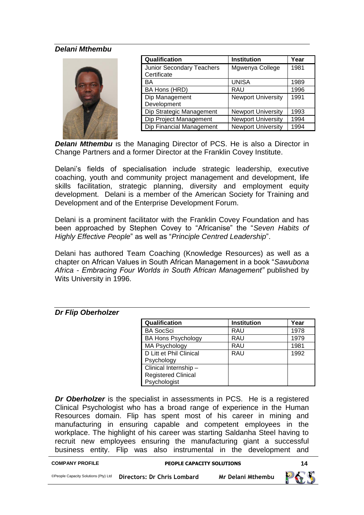#### *Delani Mthembu*

| u<br>巈<br><br>Ш<br>F<br>۴<br>٠                                                                     | f<br>ł<br>٠<br>t.<br>۱<br>ŗ<br>n<br>r<br>٠<br>ñ<br>Ľ<br>11000000000<br>٠<br>٠<br>t<br>11 <i>0733341414</i><br>٠<br>,,,,,,,,,,,<br>10000000 |
|----------------------------------------------------------------------------------------------------|--------------------------------------------------------------------------------------------------------------------------------------------|
| ý.<br>t<br>191999<br>۳<br>٠<br>٠<br>à,<br>m<br>t<br>č<br>УIJ<br>۰<br>٠<br>1566<br>٠<br>۳<br>ŕ<br>× | ٥<br>68.66<br>٠<br>٠<br>٠<br>٠<br>۰<br>111122<br>٠<br>۳<br>۳<br>٠<br>٠<br>n<br>46<br>٠<br>m<br>٠<br>Ľ<br>٠<br>1944                         |

| Qualification             | <b>Institution</b>        | Year |
|---------------------------|---------------------------|------|
| Junior Secondary Teachers | Mgwenya College           | 1981 |
| Certificate               |                           |      |
| BA                        | <b>UNISA</b>              | 1989 |
| BA Hons (HRD)             | RAU                       | 1996 |
| Dip Management            | <b>Newport University</b> | 1991 |
| Development               |                           |      |
| Dip Strategic Management  | <b>Newport University</b> | 1993 |
| Dip Project Management    | <b>Newport University</b> | 1994 |
| Dip Financial Management  | <b>Newport University</b> | 1994 |

*Delani Mthembu* is the Managing Director of PCS. He is also a Director in Change Partners and a former Director at the Franklin Covey Institute.

Delani's fields of specialisation include strategic leadership, executive coaching, youth and community project management and development, life skills facilitation, strategic planning, diversity and employment equity development. Delani is a member of the American Society for Training and Development and of the Enterprise Development Forum.

Delani is a prominent facilitator with the Franklin Covey Foundation and has been approached by Stephen Covey to "Africanise" the "*Seven Habits of Highly Effective People*" as well as "*Principle Centred Leadership*".

Delani has authored Team Coaching (Knowledge Resources) as well as a chapter on African Values in South African Management in a book "*Sawubona Africa - Embracing Four Worlds in South African Management"* published by Wits University in 1996.

#### *Dr Flip Oberholzer*

| Qualification                                                       | <b>Institution</b> | Year |
|---------------------------------------------------------------------|--------------------|------|
| <b>BA SocSci</b>                                                    | <b>RAU</b>         | 1978 |
| <b>BA Hons Psychology</b>                                           | <b>RAU</b>         | 1979 |
| <b>MA Psychology</b>                                                | <b>RAU</b>         | 1981 |
| D Litt et Phil Clinical<br>Psychology                               | <b>RAU</b>         | 1992 |
| Clinical Internship -<br><b>Registered Clinical</b><br>Psychologist |                    |      |

*Dr Oberholzer* is the specialist in assessments in PCS. He is a registered Clinical Psychologist who has a broad range of experience in the Human Resources domain. Flip has spent most of his career in mining and manufacturing in ensuring capable and competent employees in the workplace. The highlight of his career was starting Saldanha Steel having to recruit new employees ensuring the manufacturing giant a successful business entity. Flip was also instrumental in the development and

| <b>COMPANY PROFILE</b>               | <b>PEOPLE CAPACITY SOLUTIONS</b> |                          |     |
|--------------------------------------|----------------------------------|--------------------------|-----|
| ©People Capacity Solutions (Pty) Ltd | Directors: Dr Chris Lombard      | <b>Mr Delani Mthembu</b> | PES |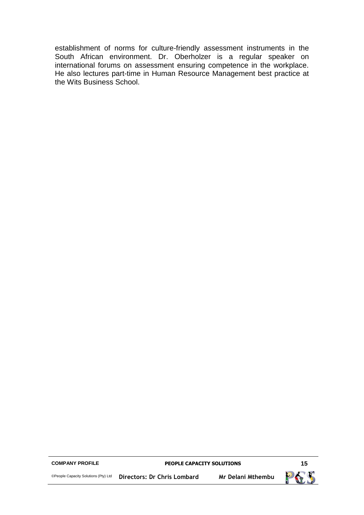establishment of norms for culture-friendly assessment instruments in the South African environment. Dr. Oberholzer is a regular speaker on international forums on assessment ensuring competence in the workplace. He also lectures part-time in Human Resource Management best practice at the Wits Business School.

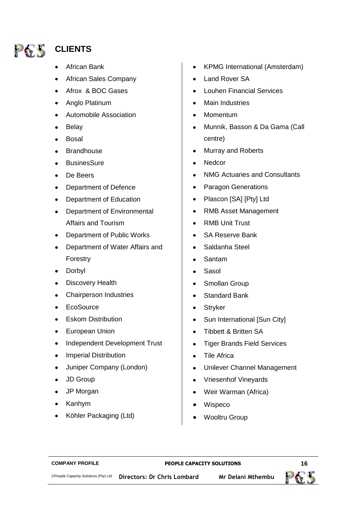

#### **CLIENTS**

- African Bank
- African Sales Company
- Afrox & BOC Gases
- Anglo Platinum
- Automobile Association
- Belay  $\bullet$
- Bosal
- **Brandhouse**
- $\bullet$ **BusinesSure**
- $\bullet$ De Beers
- Department of Defence
- Department of Education
- $\bullet$ Department of Environmental Affairs and Tourism
- $\bullet$ Department of Public Works
- Department of Water Affairs and  $\bullet$ Forestry
- $\bullet$ Dorbyl
- Discovery Health
- Chairperson Industries
- **EcoSource**  $\bullet$
- $\bullet$ Eskom Distribution
- European Union  $\bullet$
- Independent Development Trust  $\bullet$
- $\bullet$ Imperial Distribution
- Juniper Company (London)  $\bullet$
- JD Group
- JP Morgan
- $\bullet$ Kanhym
- Köhler Packaging (Ltd)  $\bullet$
- KPMG International (Amsterdam)
- Land Rover SA
- Louhen Financial Services
- Main Industries
- Momentum
- Munnik, Basson & Da Gama (Call centre)
- Murray and Roberts
- **Nedcor**
- NMG Actuaries and Consultants  $\bullet$
- Paragon Generations
- Plascon [SA] [Pty] Ltd
- RMB Asset Management  $\bullet$
- RMB Unit Trust  $\bullet$
- SA Reserve Bank
- Saldanha Steel
- Santam
- Sasol  $\bullet$
- Smollan Group  $\bullet$
- Standard Bank  $\bullet$
- $\bullet$ **Stryker**
- Sun International [Sun City]  $\bullet$
- $\bullet$ Tibbett & Britten SA
- Tiger Brands Field Services  $\bullet$
- Tile Africa  $\bullet$
- Unilever Channel Management  $\bullet$
- Vriesenhof Vineyards  $\bullet$
- Weir Warman (Africa)
- Wispeco  $\bullet$
- Wooltru Group

#### **COMPANY PROFILE PEOPLE CAPACITY SOLUTIONS 16**